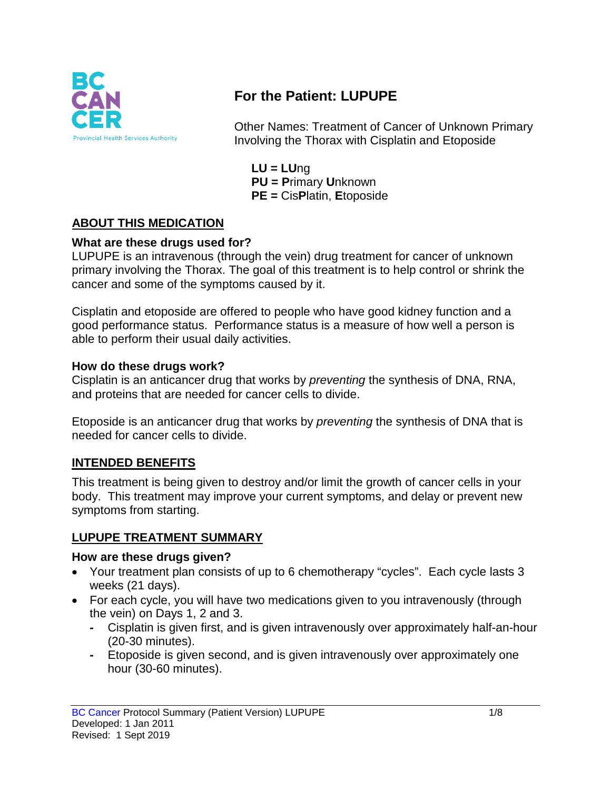

# **For the Patient: LUPUPE**

Other Names: Treatment of Cancer of Unknown Primary Involving the Thorax with Cisplatin and Etoposide

**LU = LU**ng **PU = P**rimary **U**nknown **PE =** Cis**P**latin, **E**toposide

## **ABOUT THIS MEDICATION**

#### **What are these drugs used for?**

LUPUPE is an intravenous (through the vein) drug treatment for cancer of unknown primary involving the Thorax. The goal of this treatment is to help control or shrink the cancer and some of the symptoms caused by it.

Cisplatin and etoposide are offered to people who have good kidney function and a good performance status. Performance status is a measure of how well a person is able to perform their usual daily activities.

#### **How do these drugs work?**

Cisplatin is an anticancer drug that works by *preventing* the synthesis of DNA, RNA, and proteins that are needed for cancer cells to divide.

Etoposide is an anticancer drug that works by *preventing* the synthesis of DNA that is needed for cancer cells to divide.

#### **INTENDED BENEFITS**

This treatment is being given to destroy and/or limit the growth of cancer cells in your body. This treatment may improve your current symptoms, and delay or prevent new symptoms from starting.

#### **LUPUPE TREATMENT SUMMARY**

#### **How are these drugs given?**

- Your treatment plan consists of up to 6 chemotherapy "cycles". Each cycle lasts 3 weeks (21 days).
- For each cycle, you will have two medications given to you intravenously (through the vein) on Days 1, 2 and 3.
	- **-** Cisplatin is given first, and is given intravenously over approximately half-an-hour (20-30 minutes).
	- **-** Etoposide is given second, and is given intravenously over approximately one hour (30-60 minutes).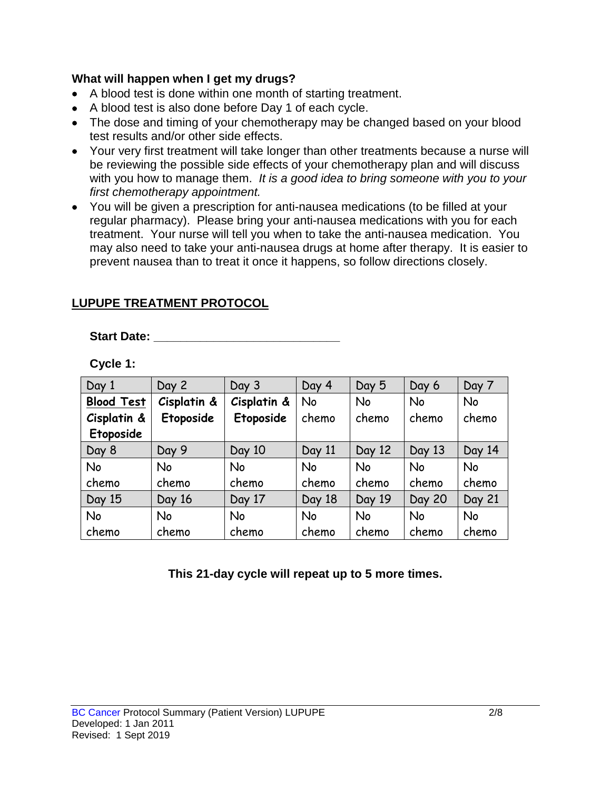#### **What will happen when I get my drugs?**

- A blood test is done within one month of starting treatment.
- A blood test is also done before Day 1 of each cycle.
- The dose and timing of your chemotherapy may be changed based on your blood test results and/or other side effects.
- Your very first treatment will take longer than other treatments because a nurse will be reviewing the possible side effects of your chemotherapy plan and will discuss with you how to manage them. *It is a good idea to bring someone with you to your first chemotherapy appointment.*
- You will be given a prescription for anti-nausea medications (to be filled at your regular pharmacy). Please bring your anti-nausea medications with you for each treatment. Your nurse will tell you when to take the anti-nausea medication. You may also need to take your anti-nausea drugs at home after therapy. It is easier to prevent nausea than to treat it once it happens, so follow directions closely.

#### **LUPUPE TREATMENT PROTOCOL**

#### **Start Date: \_\_\_\_\_\_\_\_\_\_\_\_\_\_\_\_\_\_\_\_\_\_\_\_\_\_\_\_**

| Cycle |  |
|-------|--|
|-------|--|

| Day 1             | Day 2       | Day 3       | Day 4     | Day 5     | Day 6         | Day 7     |
|-------------------|-------------|-------------|-----------|-----------|---------------|-----------|
| <b>Blood Test</b> | Cisplatin & | Cisplatin & | <b>No</b> | <b>No</b> | <b>No</b>     | <b>No</b> |
| Cisplatin &       | Etoposide   | Etoposide   | chemo     | chemo     | chemo         | chemo     |
| Etoposide         |             |             |           |           |               |           |
| Day 8             | Day 9       | Day 10      | Day 11    | Day 12    | Day 13        | Day 14    |
| No                | No          | No          | <b>No</b> | <b>No</b> | <b>No</b>     | <b>No</b> |
| chemo             | chemo       | chemo       | chemo     | chemo     | chemo         | chemo     |
| Day 15            | Day 16      | Day 17      | Day 18    | Day 19    | <b>Day 20</b> | Day 21    |
| No                | No          | <b>No</b>   | <b>No</b> | <b>No</b> | <b>No</b>     | No        |
| chemo             | chemo       | chemo       | chemo     | chemo     | chemo         | chemo     |

**This 21-day cycle will repeat up to 5 more times.**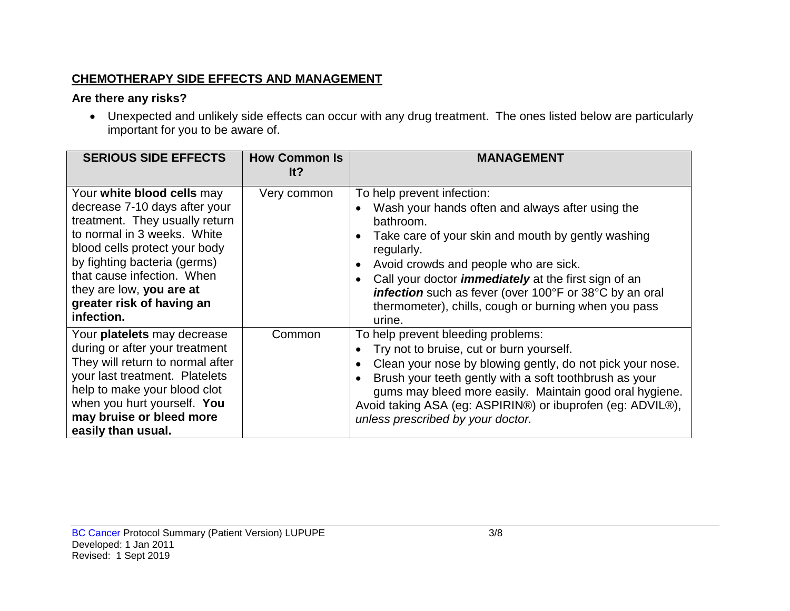#### **CHEMOTHERAPY SIDE EFFECTS AND MANAGEMENT**

## **Are there any risks?**

• Unexpected and unlikely side effects can occur with any drug treatment. The ones listed below are particularly important for you to be aware of.

| <b>SERIOUS SIDE EFFECTS</b>                                                                                                                                                                                                                                                                        | <b>How Common Is</b><br>It? | <b>MANAGEMENT</b>                                                                                                                                                                                                                                                                                                                                                                                          |
|----------------------------------------------------------------------------------------------------------------------------------------------------------------------------------------------------------------------------------------------------------------------------------------------------|-----------------------------|------------------------------------------------------------------------------------------------------------------------------------------------------------------------------------------------------------------------------------------------------------------------------------------------------------------------------------------------------------------------------------------------------------|
| Your white blood cells may<br>decrease 7-10 days after your<br>treatment. They usually return<br>to normal in 3 weeks. White<br>blood cells protect your body<br>by fighting bacteria (germs)<br>that cause infection. When<br>they are low, you are at<br>greater risk of having an<br>infection. | Very common                 | To help prevent infection:<br>Wash your hands often and always after using the<br>bathroom.<br>Take care of your skin and mouth by gently washing<br>regularly.<br>Avoid crowds and people who are sick.<br>Call your doctor <i>immediately</i> at the first sign of an<br><b>infection</b> such as fever (over 100°F or 38°C by an oral<br>thermometer), chills, cough or burning when you pass<br>urine. |
| Your platelets may decrease<br>during or after your treatment<br>They will return to normal after<br>your last treatment. Platelets<br>help to make your blood clot<br>when you hurt yourself. You<br>may bruise or bleed more<br>easily than usual.                                               | Common                      | To help prevent bleeding problems:<br>Try not to bruise, cut or burn yourself.<br>Clean your nose by blowing gently, do not pick your nose.<br>Brush your teeth gently with a soft toothbrush as your<br>gums may bleed more easily. Maintain good oral hygiene.<br>Avoid taking ASA (eg: ASPIRIN®) or ibuprofen (eg: ADVIL®),<br>unless prescribed by your doctor.                                        |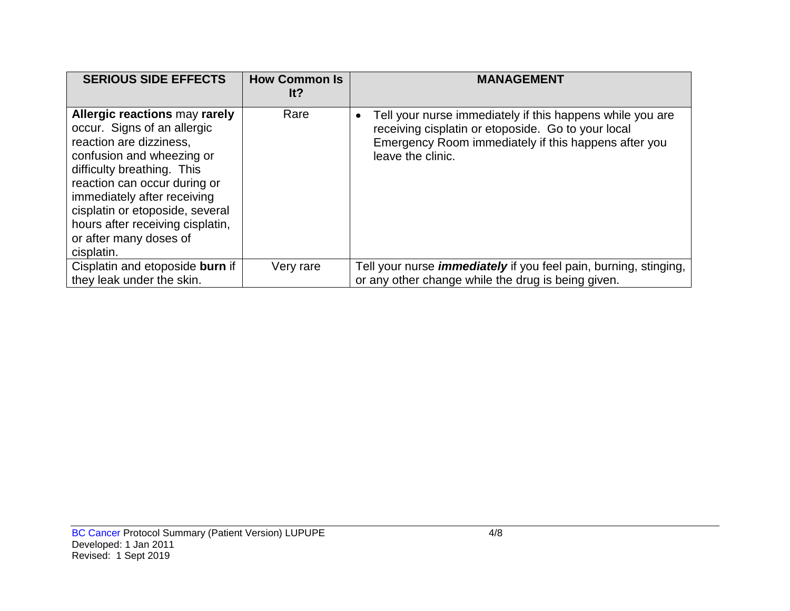| <b>SERIOUS SIDE EFFECTS</b>                                                                                                                                                                                                                                                                                                             | <b>How Common Is</b><br>It? | <b>MANAGEMENT</b>                                                                                                                                                                            |
|-----------------------------------------------------------------------------------------------------------------------------------------------------------------------------------------------------------------------------------------------------------------------------------------------------------------------------------------|-----------------------------|----------------------------------------------------------------------------------------------------------------------------------------------------------------------------------------------|
| <b>Allergic reactions may rarely</b><br>occur. Signs of an allergic<br>reaction are dizziness,<br>confusion and wheezing or<br>difficulty breathing. This<br>reaction can occur during or<br>immediately after receiving<br>cisplatin or etoposide, several<br>hours after receiving cisplatin,<br>or after many doses of<br>cisplatin. | Rare                        | Tell your nurse immediately if this happens while you are<br>receiving cisplatin or etoposide. Go to your local<br>Emergency Room immediately if this happens after you<br>leave the clinic. |
| Cisplatin and etoposide burn if<br>they leak under the skin.                                                                                                                                                                                                                                                                            | Very rare                   | Tell your nurse <i>immediately</i> if you feel pain, burning, stinging,<br>or any other change while the drug is being given.                                                                |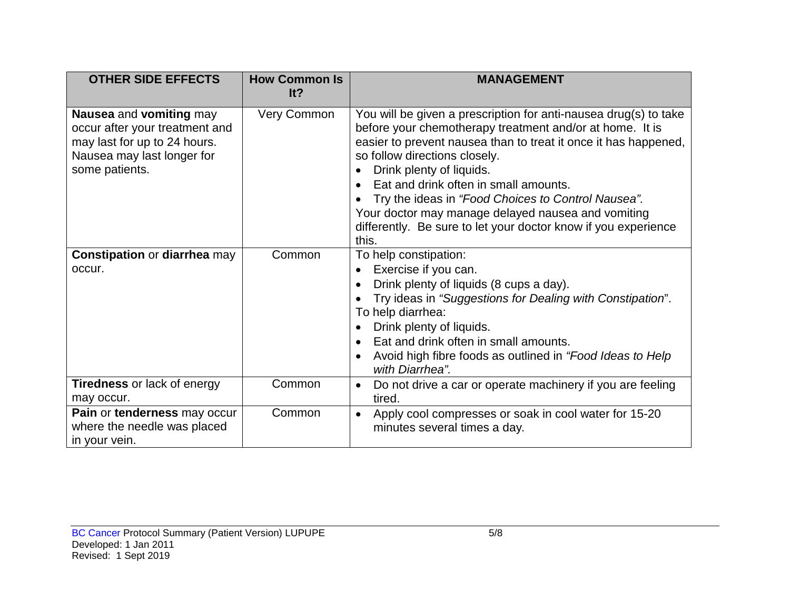| <b>OTHER SIDE EFFECTS</b>                                                                                                                 | <b>How Common Is</b><br>It? | <b>MANAGEMENT</b>                                                                                                                                                                                                                                                                                                                                                                                                                                                                            |
|-------------------------------------------------------------------------------------------------------------------------------------------|-----------------------------|----------------------------------------------------------------------------------------------------------------------------------------------------------------------------------------------------------------------------------------------------------------------------------------------------------------------------------------------------------------------------------------------------------------------------------------------------------------------------------------------|
| Nausea and vomiting may<br>occur after your treatment and<br>may last for up to 24 hours.<br>Nausea may last longer for<br>some patients. | <b>Very Common</b>          | You will be given a prescription for anti-nausea drug(s) to take<br>before your chemotherapy treatment and/or at home. It is<br>easier to prevent nausea than to treat it once it has happened,<br>so follow directions closely.<br>Drink plenty of liquids.<br>Eat and drink often in small amounts.<br>Try the ideas in "Food Choices to Control Nausea".<br>Your doctor may manage delayed nausea and vomiting<br>differently. Be sure to let your doctor know if you experience<br>this. |
| <b>Constipation or diarrhea may</b><br>occur.                                                                                             | Common                      | To help constipation:<br>Exercise if you can.<br>$\bullet$<br>Drink plenty of liquids (8 cups a day).<br>Try ideas in "Suggestions for Dealing with Constipation".<br>To help diarrhea:<br>Drink plenty of liquids.<br>Eat and drink often in small amounts.<br>Avoid high fibre foods as outlined in "Food Ideas to Help"<br>with Diarrhea".                                                                                                                                                |
| <b>Tiredness or lack of energy</b><br>may occur.                                                                                          | Common                      | Do not drive a car or operate machinery if you are feeling<br>$\bullet$<br>tired.                                                                                                                                                                                                                                                                                                                                                                                                            |
| Pain or tenderness may occur<br>where the needle was placed<br>in your vein.                                                              | Common                      | Apply cool compresses or soak in cool water for 15-20<br>minutes several times a day.                                                                                                                                                                                                                                                                                                                                                                                                        |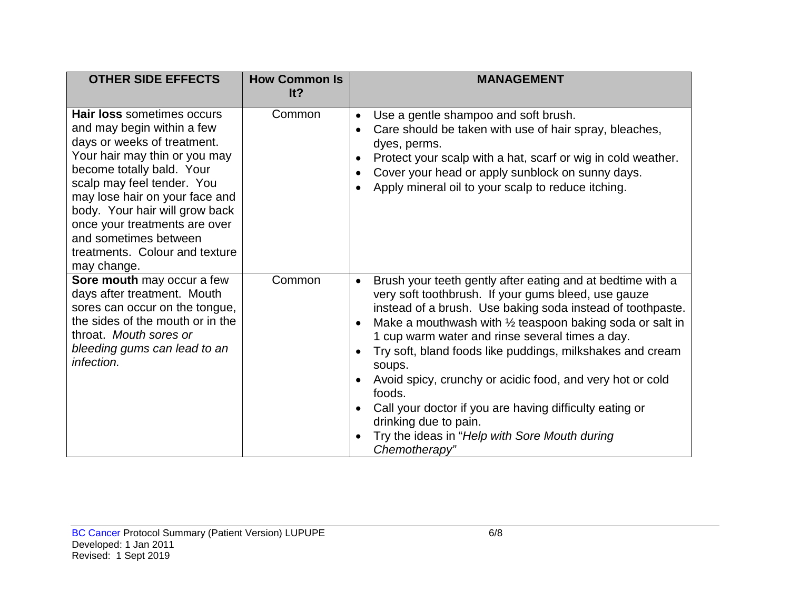| <b>OTHER SIDE EFFECTS</b>                                                                                                                                                                                                                                                                                                                                                 | <b>How Common Is</b><br>It? | <b>MANAGEMENT</b>                                                                                                                                                                                                                                                                                                                                                                                                                                                                                                                                                                                                                       |
|---------------------------------------------------------------------------------------------------------------------------------------------------------------------------------------------------------------------------------------------------------------------------------------------------------------------------------------------------------------------------|-----------------------------|-----------------------------------------------------------------------------------------------------------------------------------------------------------------------------------------------------------------------------------------------------------------------------------------------------------------------------------------------------------------------------------------------------------------------------------------------------------------------------------------------------------------------------------------------------------------------------------------------------------------------------------------|
| <b>Hair loss sometimes occurs</b><br>and may begin within a few<br>days or weeks of treatment.<br>Your hair may thin or you may<br>become totally bald. Your<br>scalp may feel tender. You<br>may lose hair on your face and<br>body. Your hair will grow back<br>once your treatments are over<br>and sometimes between<br>treatments. Colour and texture<br>may change. | Common                      | Use a gentle shampoo and soft brush.<br>Care should be taken with use of hair spray, bleaches,<br>dyes, perms.<br>Protect your scalp with a hat, scarf or wig in cold weather.<br>Cover your head or apply sunblock on sunny days.<br>Apply mineral oil to your scalp to reduce itching.                                                                                                                                                                                                                                                                                                                                                |
| Sore mouth may occur a few<br>days after treatment. Mouth<br>sores can occur on the tongue,<br>the sides of the mouth or in the<br>throat. Mouth sores or<br>bleeding gums can lead to an<br>infection.                                                                                                                                                                   | Common                      | Brush your teeth gently after eating and at bedtime with a<br>$\bullet$<br>very soft toothbrush. If your gums bleed, use gauze<br>instead of a brush. Use baking soda instead of toothpaste.<br>Make a mouthwash with $\frac{1}{2}$ teaspoon baking soda or salt in<br>1 cup warm water and rinse several times a day.<br>Try soft, bland foods like puddings, milkshakes and cream<br>soups.<br>Avoid spicy, crunchy or acidic food, and very hot or cold<br>foods.<br>Call your doctor if you are having difficulty eating or<br>$\bullet$<br>drinking due to pain.<br>Try the ideas in "Help with Sore Mouth during<br>Chemotherapy" |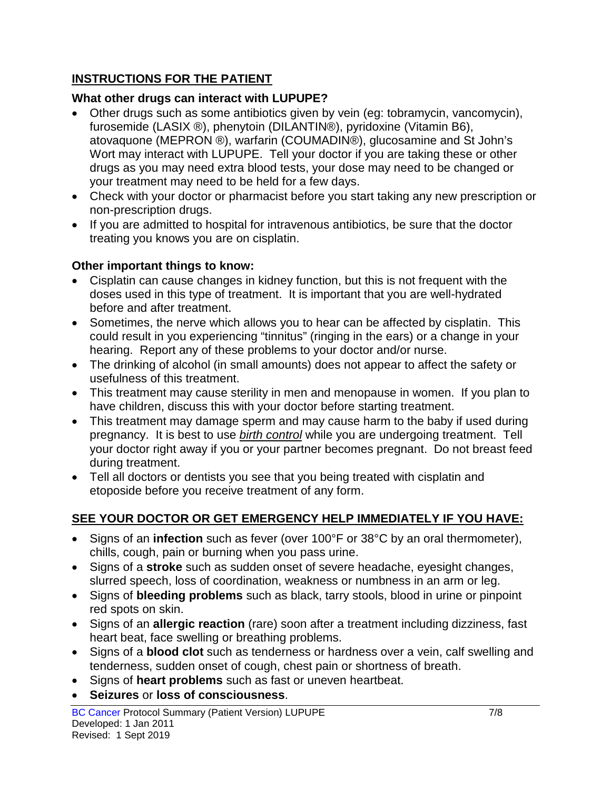## **INSTRUCTIONS FOR THE PATIENT**

## **What other drugs can interact with LUPUPE?**

- Other drugs such as some antibiotics given by vein (eg: tobramycin, vancomycin), furosemide (LASIX ®), phenytoin (DILANTIN®), pyridoxine (Vitamin B6), atovaquone (MEPRON ®), warfarin (COUMADIN®), glucosamine and St John's Wort may interact with LUPUPE. Tell your doctor if you are taking these or other drugs as you may need extra blood tests, your dose may need to be changed or your treatment may need to be held for a few days.
- Check with your doctor or pharmacist before you start taking any new prescription or non-prescription drugs.
- If you are admitted to hospital for intravenous antibiotics, be sure that the doctor treating you knows you are on cisplatin.

## **Other important things to know:**

- Cisplatin can cause changes in kidney function, but this is not frequent with the doses used in this type of treatment. It is important that you are well-hydrated before and after treatment.
- Sometimes, the nerve which allows you to hear can be affected by cisplatin. This could result in you experiencing "tinnitus" (ringing in the ears) or a change in your hearing. Report any of these problems to your doctor and/or nurse.
- The drinking of alcohol (in small amounts) does not appear to affect the safety or usefulness of this treatment.
- This treatment may cause sterility in men and menopause in women. If you plan to have children, discuss this with your doctor before starting treatment.
- This treatment may damage sperm and may cause harm to the baby if used during pregnancy. It is best to use *birth control* while you are undergoing treatment. Tell your doctor right away if you or your partner becomes pregnant. Do not breast feed during treatment.
- Tell all doctors or dentists you see that you being treated with cisplatin and etoposide before you receive treatment of any form.

## **SEE YOUR DOCTOR OR GET EMERGENCY HELP IMMEDIATELY IF YOU HAVE:**

- Signs of an **infection** such as fever (over 100°F or 38°C by an oral thermometer), chills, cough, pain or burning when you pass urine.
- Signs of a **stroke** such as sudden onset of severe headache, eyesight changes, slurred speech, loss of coordination, weakness or numbness in an arm or leg.
- Signs of **bleeding problems** such as black, tarry stools, blood in urine or pinpoint red spots on skin.
- Signs of an **allergic reaction** (rare) soon after a treatment including dizziness, fast heart beat, face swelling or breathing problems.
- Signs of a **blood clot** such as tenderness or hardness over a vein, calf swelling and tenderness, sudden onset of cough, chest pain or shortness of breath.
- Signs of **heart problems** such as fast or uneven heartbeat.
- **Seizures** or **loss of consciousness**.